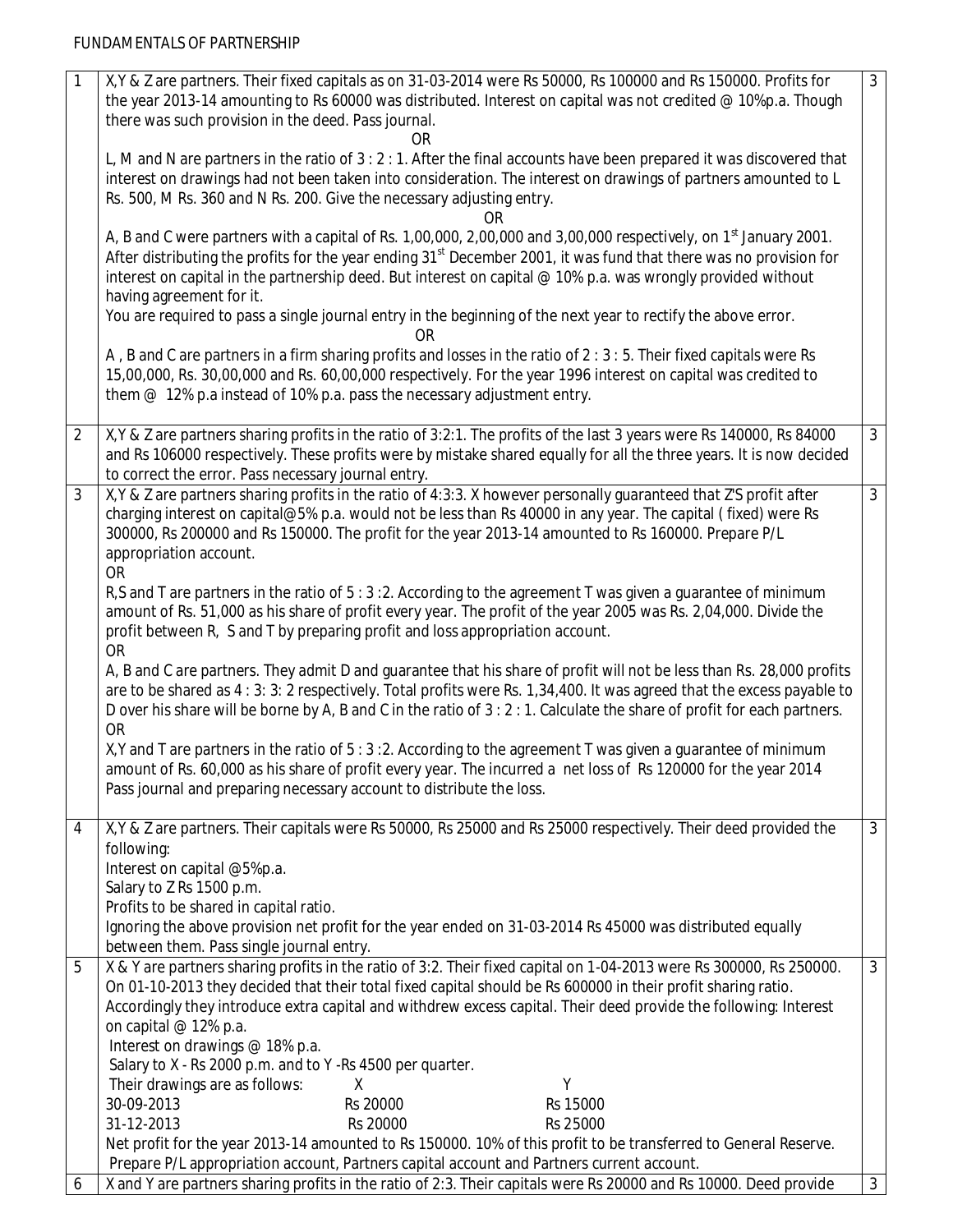| $\mathbf{1}$   | X, Y & Z are partners. Their fixed capitals as on 31-03-2014 were Rs 50000, Rs 100000 and Rs 150000. Profits for               | $\mathbf{3}$   |
|----------------|--------------------------------------------------------------------------------------------------------------------------------|----------------|
|                | the year 2013-14 amounting to Rs 60000 was distributed. Interest on capital was not credited @ 10%p.a. Though                  |                |
|                | there was such provision in the deed. Pass journal.                                                                            |                |
|                | OR.                                                                                                                            |                |
|                | L, M and N are partners in the ratio of 3 : 2 : 1. After the final accounts have been prepared it was discovered that          |                |
|                | interest on drawings had not been taken into consideration. The interest on drawings of partners amounted to L                 |                |
|                |                                                                                                                                |                |
|                | Rs. 500, M Rs. 360 and N Rs. 200. Give the necessary adjusting entry.                                                          |                |
|                | OR                                                                                                                             |                |
|                | A, B and C were partners with a capital of Rs. 1,00,000, 2,00,000 and 3,00,000 respectively, on 1 <sup>st</sup> January 2001.  |                |
|                | After distributing the profits for the year ending 31 <sup>st</sup> December 2001, it was fund that there was no provision for |                |
|                | interest on capital in the partnership deed. But interest on capital @ 10% p.a. was wrongly provided without                   |                |
|                | having agreement for it.                                                                                                       |                |
|                | You are required to pass a single journal entry in the beginning of the next year to rectify the above error.                  |                |
|                |                                                                                                                                |                |
|                | OR                                                                                                                             |                |
|                | A, B and C are partners in a firm sharing profits and losses in the ratio of 2 : 3 : 5. Their fixed capitals were Rs           |                |
|                | 15,00,000, Rs. 30,00,000 and Rs. 60,00,000 respectively. For the year 1996 interest on capital was credited to                 |                |
|                | them $@$ 12% p.a instead of 10% p.a. pass the necessary adjustment entry.                                                      |                |
|                |                                                                                                                                |                |
| $\overline{2}$ | X, Y & Z are partners sharing profits in the ratio of 3:2:1. The profits of the last 3 years were Rs 140000, Rs 84000          | $\mathbf{3}$   |
|                | and Rs 106000 respectively. These profits were by mistake shared equally for all the three years. It is now decided            |                |
|                |                                                                                                                                |                |
|                | to correct the error. Pass necessary journal entry.                                                                            |                |
| 3              | X, Y & Z are partners sharing profits in the ratio of 4:3:3. X however personally guaranteed that Z'S profit after             | $\mathfrak{Z}$ |
|                | charging interest on capital@5% p.a. would not be less than Rs 40000 in any year. The capital (fixed) were Rs                  |                |
|                | 300000, Rs 200000 and Rs 150000. The profit for the year 2013-14 amounted to Rs 160000. Prepare P/L                            |                |
|                | appropriation account.                                                                                                         |                |
|                | <b>OR</b>                                                                                                                      |                |
|                | R,S and T are partners in the ratio of 5:3:2. According to the agreement T was given a guarantee of minimum                    |                |
|                | amount of Rs. 51,000 as his share of profit every year. The profit of the year 2005 was Rs. 2,04,000. Divide the               |                |
|                |                                                                                                                                |                |
|                | profit between R, S and T by preparing profit and loss appropriation account.                                                  |                |
|                | <b>OR</b>                                                                                                                      |                |
|                | A, B and C are partners. They admit D and quarantee that his share of profit will not be less than Rs. 28,000 profits          |                |
|                | are to be shared as 4 : 3: 3: 2 respectively. Total profits were Rs. 1,34,400. It was agreed that the excess payable to        |                |
|                | D over his share will be borne by A, B and C in the ratio of 3 : 2 : 1. Calculate the share of profit for each partners.       |                |
|                | <b>OR</b>                                                                                                                      |                |
|                | X, Y and T are partners in the ratio of 5:3:2. According to the agreement T was given a guarantee of minimum                   |                |
|                | amount of Rs. 60,000 as his share of profit every year. The incurred a net loss of Rs 120000 for the year 2014                 |                |
|                |                                                                                                                                |                |
|                | Pass journal and preparing necessary account to distribute the loss.                                                           |                |
|                |                                                                                                                                |                |
| 4              | X, Y & Z are partners. Their capitals were Rs 50000, Rs 25000 and Rs 25000 respectively. Their deed provided the               | $\mathbf{3}$   |
|                | following:                                                                                                                     |                |
|                | Interest on capital @5%p.a.                                                                                                    |                |
|                | Salary to Z Rs 1500 p.m.                                                                                                       |                |
|                | Profits to be shared in capital ratio.                                                                                         |                |
|                | Ignoring the above provision net profit for the year ended on 31-03-2014 Rs 45000 was distributed equally                      |                |
|                | between them. Pass single journal entry.                                                                                       |                |
|                |                                                                                                                                |                |
| 5              | X & Y are partners sharing profits in the ratio of 3:2. Their fixed capital on 1-04-2013 were Rs 300000, Rs 250000.            | $\mathbf{3}$   |
|                | On 01-10-2013 they decided that their total fixed capital should be Rs 600000 in their profit sharing ratio.                   |                |
|                | Accordingly they introduce extra capital and withdrew excess capital. Their deed provide the following: Interest               |                |
|                | on capital @ 12% p.a.                                                                                                          |                |
|                | Interest on drawings @ 18% p.a.                                                                                                |                |
|                | Salary to X - Rs 2000 p.m. and to Y -Rs 4500 per quarter.                                                                      |                |
|                | Their drawings are as follows:<br>Υ<br>X                                                                                       |                |
|                |                                                                                                                                |                |
|                | 30-09-2013<br>Rs 20000<br>Rs 15000                                                                                             |                |
|                | 31-12-2013<br>Rs 25000<br>Rs 20000                                                                                             |                |
|                | Net profit for the year 2013-14 amounted to Rs 150000. 10% of this profit to be transferred to General Reserve.                |                |
|                | Prepare P/L appropriation account, Partners capital account and Partners current account.                                      |                |
| 6              | X and Y are partners sharing profits in the ratio of 2:3. Their capitals were Rs 20000 and Rs 10000. Deed provide              | $\mathbf{3}$   |